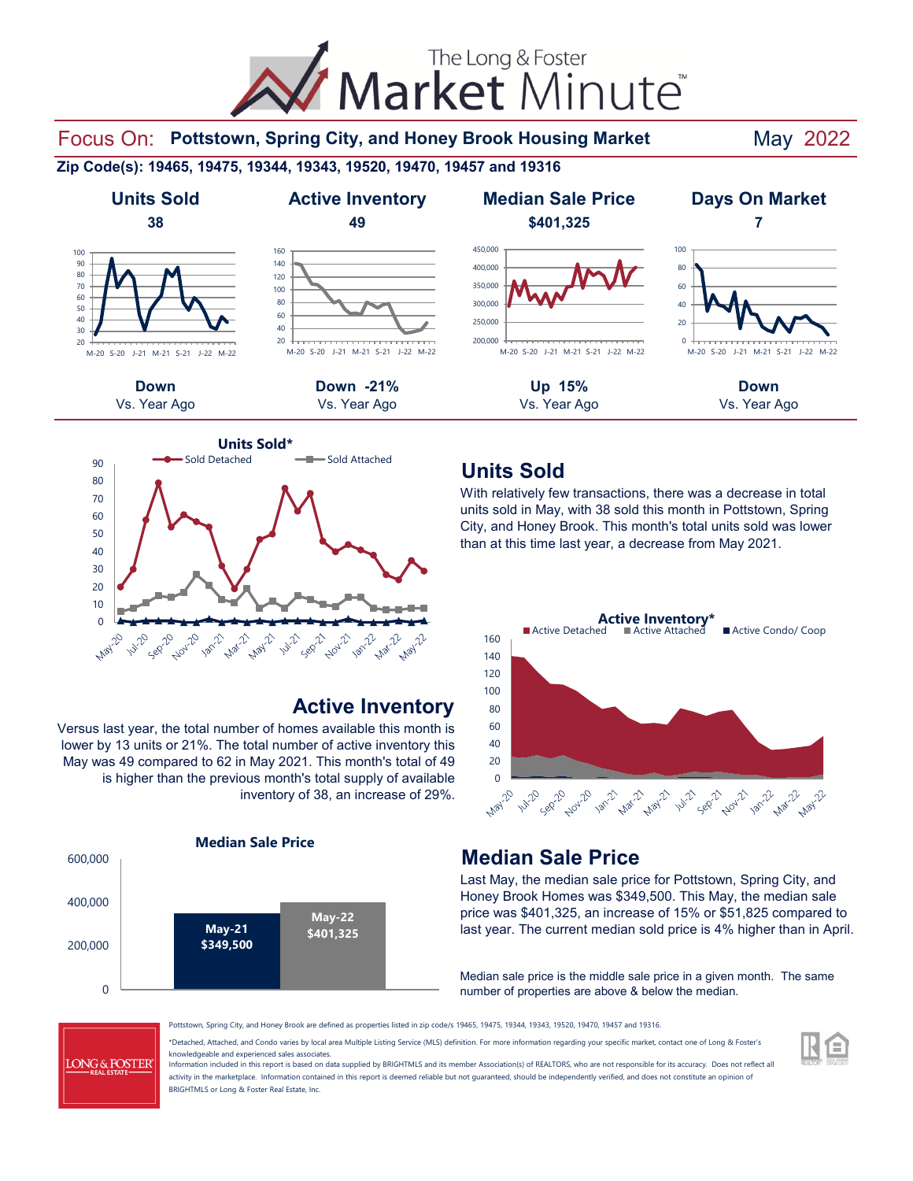



#### **Active Inventory**

Versus last year, the total number of homes available this month is lower by 13 units or 21%. The total number of active inventory this May was 49 compared to 62 in May 2021. This month's total of 49 is higher than the previous month's total supply of available inventory of 38, an increase of 29%.



### **Units Sold**

With relatively few transactions, there was a decrease in total units sold in May, with 38 sold this month in Pottstown, Spring City, and Honey Brook. This month's total units sold was lower than at this time last year, a decrease from May 2021.



#### **Median Sale Price**

Last May, the median sale price for Pottstown, Spring City, and Honey Brook Homes was \$349,500. This May, the median sale price was \$401,325, an increase of 15% or \$51,825 compared to last year. The current median sold price is 4% higher than in April.

Median sale price is the middle sale price in a given month. The same number of properties are above & below the median.

**LONG & FOSTER** 

Pottstown, Spring City, and Honey Brook are defined as properties listed in zip code/s 19465, 19475, 19344, 19343, 19520, 19470, 19457 and 19316.

\*Detached, Attached, and Condo varies by local area Multiple Listing Service (MLS) definition. For more information regarding your specific market, contact one of Long & Foster's knowledgeable and experienced sales associates.

Information included in this report is based on data supplied by BRIGHTMLS and its member Association(s) of REALTORS, who are not responsible for its accuracy. Does not reflect all activity in the marketplace. Information contained in this report is deemed reliable but not guaranteed, should be independently verified, and does not constitute an opinion of BRIGHTMLS or Long & Foster Real Estate, Inc.